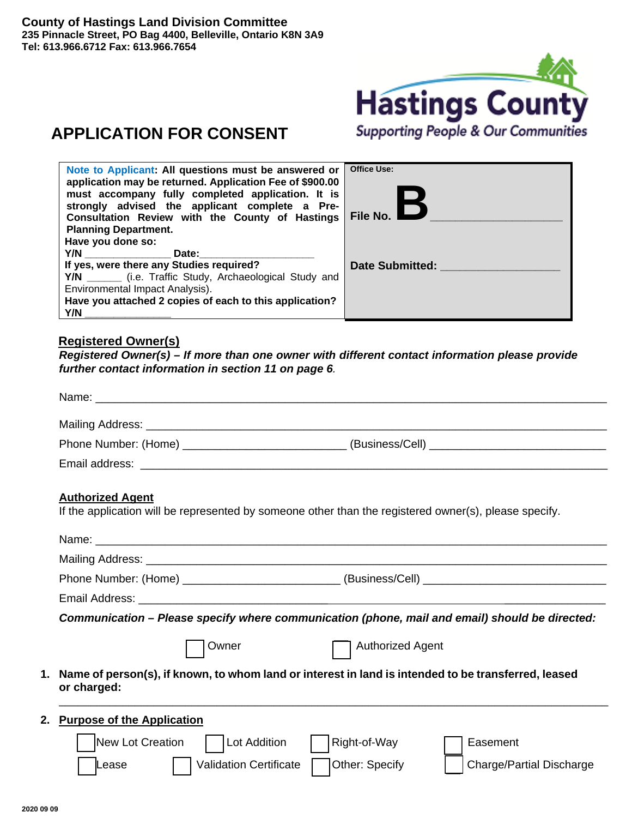

# **APPLICATION FOR CONSENT**

| Note to Applicant: All questions must be answered or<br>application may be returned. Application Fee of \$900.00<br>must accompany fully completed application. It is<br>strongly advised the applicant complete a Pre-<br>Consultation Review with the County of Hastings<br><b>Planning Department.</b><br>Have you done so: | <b>Office Use:</b><br>File No. I |
|--------------------------------------------------------------------------------------------------------------------------------------------------------------------------------------------------------------------------------------------------------------------------------------------------------------------------------|----------------------------------|
| <b>Y/N <i>No. No. No. No.</i></b><br>Date:<br>If yes, were there any Studies required?<br>Y/N ________ (i.e. Traffic Study, Archaeological Study and<br>Environmental Impact Analysis).<br>Have you attached 2 copies of each to this application?<br>Y/N                                                                      | Date Submitted:                  |

# **Registered Owner(s)**

*Registered Owner(s) – If more than one owner with different contact information please provide further contact information in section 11 on page 6.* 

| Email address: Weblate and the control of the control of the control of the control of the control of the control of the control of the control of the control of the control of the control of the control of the control of |  |
|-------------------------------------------------------------------------------------------------------------------------------------------------------------------------------------------------------------------------------|--|
|                                                                                                                                                                                                                               |  |

# **Authorized Agent**

If the application will be represented by someone other than the registered owner(s), please specify.

| Name: when the contract of the contract of the contract of the contract of the contract of the contract of the        |
|-----------------------------------------------------------------------------------------------------------------------|
|                                                                                                                       |
|                                                                                                                       |
|                                                                                                                       |
| Communication – Please specify where communication (phone, mail and email) should be directed:                        |
| <b>Authorized Agent</b><br>Owner                                                                                      |
| 1. Name of person(s), if known, to whom land or interest in land is intended to be transferred, leased<br>or charged: |
| 2. Purpose of the Application                                                                                         |
| New Lot Creation<br>Lot Addition<br>Right-of-Way<br>Easement                                                          |
| Other: Specify<br><b>Validation Certificate</b><br><b>Charge/Partial Discharge</b><br>Lease                           |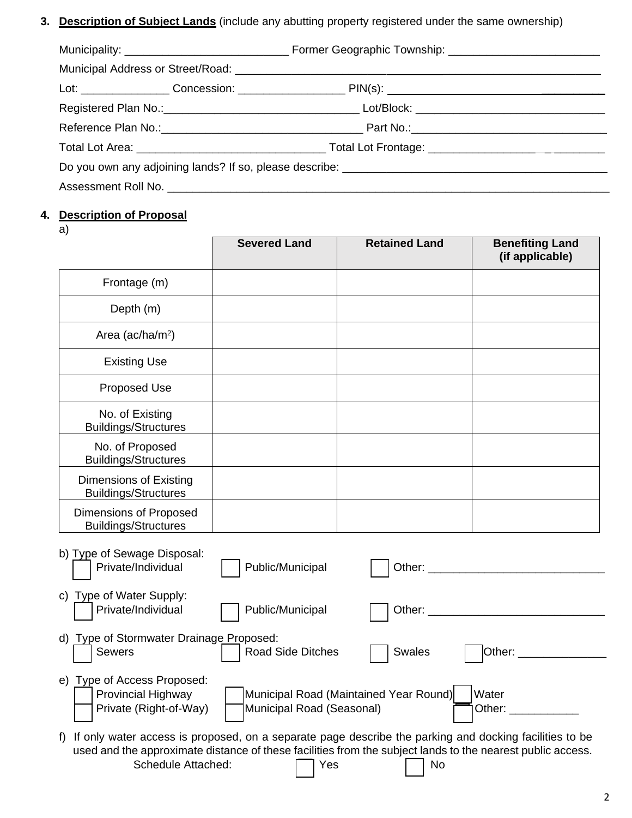**3. Description of Subject Lands** (include any abutting property registered under the same ownership)

# **4. Description of Proposal**

a)

|                                                                                                                 | <b>Severed Land</b>       | <b>Retained Land</b>                   | <b>Benefiting Land</b><br>(if applicable) |
|-----------------------------------------------------------------------------------------------------------------|---------------------------|----------------------------------------|-------------------------------------------|
| Frontage (m)                                                                                                    |                           |                                        |                                           |
| Depth (m)                                                                                                       |                           |                                        |                                           |
| Area ( $ac/ha/m2$ )                                                                                             |                           |                                        |                                           |
| <b>Existing Use</b>                                                                                             |                           |                                        |                                           |
| Proposed Use                                                                                                    |                           |                                        |                                           |
| No. of Existing<br><b>Buildings/Structures</b>                                                                  |                           |                                        |                                           |
| No. of Proposed<br><b>Buildings/Structures</b>                                                                  |                           |                                        |                                           |
| <b>Dimensions of Existing</b><br><b>Buildings/Structures</b>                                                    |                           |                                        |                                           |
| Dimensions of Proposed<br><b>Buildings/Structures</b>                                                           |                           |                                        |                                           |
| b) Type of Sewage Disposal:<br>Private/Individual                                                               | Public/Municipal          |                                        |                                           |
| c) Type of Water Supply:<br>Private/Individual                                                                  | Public/Municipal          |                                        | Other: ___________________                |
| d) Type of Stormwater Drainage Proposed:<br>Sewers                                                              | Road Side Ditches         | <b>Swales</b>                          | $\mathsf{Other:}\_$                       |
| e) Type of Access Proposed:<br>Provincial Highway<br>Private (Right-of-Way)                                     | Municipal Road (Seasonal) | Municipal Road (Maintained Year Round) | Water<br>Other: _________                 |
| If only water access is proposed, on a separate page describe the parking and docking facilities to be<br>$f$ ) |                           |                                        |                                           |

used and the approximate distance of these facilities from the subject lands to the nearest public access. Schedule Attached: 
<br>
T Yes 
No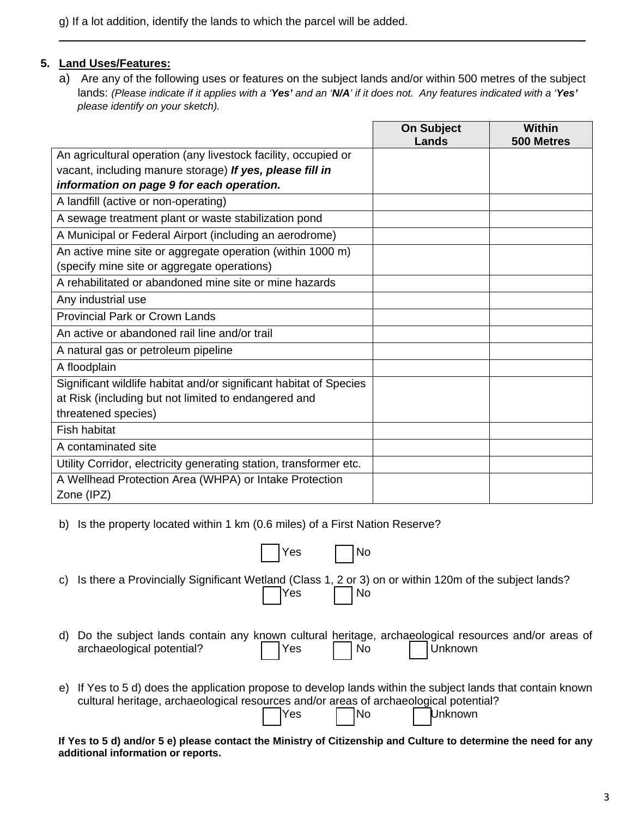g) If a lot addition, identify the lands to which the parcel will be added.

# **5. Land Uses/Features:**

a) Are any of the following uses or features on the subject lands and/or within 500 metres of the subject lands: *(Please indicate if it applies with a 'Yes' and an 'N/A' if it does not. Any features indicated with a 'Yes' please identify on your sketch).*

\_

|                                                                      | <b>On Subject</b><br>Lands | Within<br>500 Metres |
|----------------------------------------------------------------------|----------------------------|----------------------|
| An agricultural operation (any livestock facility, occupied or       |                            |                      |
| vacant, including manure storage) If yes, please fill in             |                            |                      |
| information on page 9 for each operation.                            |                            |                      |
| A landfill (active or non-operating)                                 |                            |                      |
| A sewage treatment plant or waste stabilization pond                 |                            |                      |
| A Municipal or Federal Airport (including an aerodrome)              |                            |                      |
| An active mine site or aggregate operation (within 1000 m)           |                            |                      |
| (specify mine site or aggregate operations)                          |                            |                      |
| A rehabilitated or abandoned mine site or mine hazards               |                            |                      |
| Any industrial use                                                   |                            |                      |
| <b>Provincial Park or Crown Lands</b>                                |                            |                      |
| An active or abandoned rail line and/or trail                        |                            |                      |
| A natural gas or petroleum pipeline                                  |                            |                      |
| A floodplain                                                         |                            |                      |
| Significant wildlife habitat and/or significant habitat of Species   |                            |                      |
| at Risk (including but not limited to endangered and                 |                            |                      |
| threatened species)                                                  |                            |                      |
| <b>Fish habitat</b>                                                  |                            |                      |
| A contaminated site                                                  |                            |                      |
| Utility Corridor, electricity generating station, transformer etc.   |                            |                      |
| A Wellhead Protection Area (WHPA) or Intake Protection<br>Zone (IPZ) |                            |                      |

b) Is the property located within 1 km (0.6 miles) of a First Nation Reserve?

|    | No<br>Yes                                                                                                                                                                                                                          |
|----|------------------------------------------------------------------------------------------------------------------------------------------------------------------------------------------------------------------------------------|
|    | c) Is there a Provincially Significant Wetland (Class 1, 2 or 3) on or within 120m of the subject lands?<br><b>Yes</b><br>  No                                                                                                     |
| d) | Do the subject lands contain any known cultural heritage, archaeological resources and/or areas of archaeological potential? $\Box$ Yes $\Box$ No $\Box$ Unknown                                                                   |
| e) | If Yes to 5 d) does the application propose to develop lands within the subject lands that contain known<br>cultural heritage, archaeological resources and/or areas of archaeological potential?<br> Yes     No<br><b>Unknown</b> |

**If Yes to 5 d) and/or 5 e) please contact the Ministry of Citizenship and Culture to determine the need for any additional information or reports.**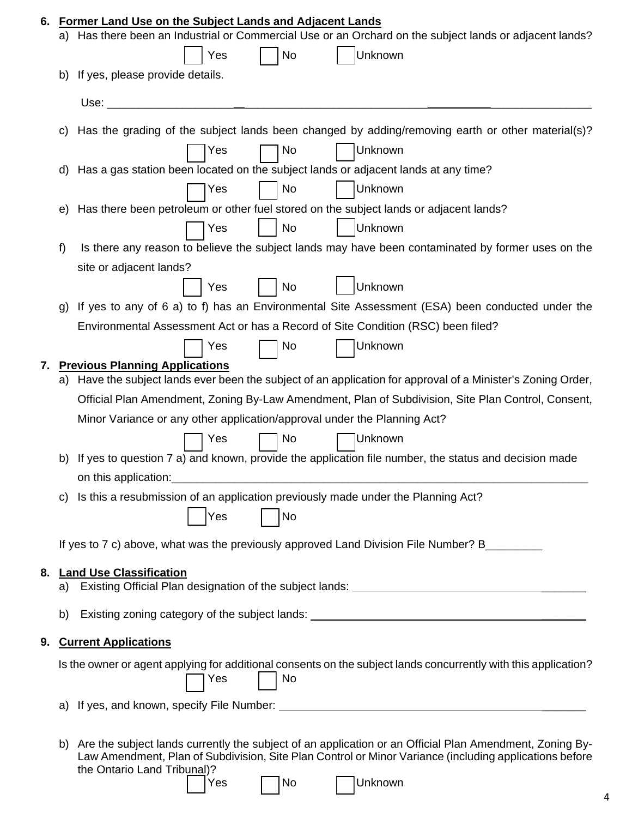|    | a) Has there been an Industrial or Commercial Use or an Orchard on the subject lands or adjacent lands?                                                                                                              |
|----|----------------------------------------------------------------------------------------------------------------------------------------------------------------------------------------------------------------------|
|    | No<br>Unknown<br>Yes                                                                                                                                                                                                 |
| b) | If yes, please provide details.                                                                                                                                                                                      |
|    | Use:                                                                                                                                                                                                                 |
| C) | Has the grading of the subject lands been changed by adding/removing earth or other material(s)?                                                                                                                     |
|    | Unknown<br>Yes<br>No                                                                                                                                                                                                 |
| d) | Has a gas station been located on the subject lands or adjacent lands at any time?                                                                                                                                   |
|    | No<br>Unknown<br>Yes                                                                                                                                                                                                 |
| e) | Has there been petroleum or other fuel stored on the subject lands or adjacent lands?                                                                                                                                |
|    | No<br>Unknown<br>Yes                                                                                                                                                                                                 |
| f) | Is there any reason to believe the subject lands may have been contaminated by former uses on the                                                                                                                    |
|    | site or adjacent lands?                                                                                                                                                                                              |
|    | Unknown<br>No<br>Yes                                                                                                                                                                                                 |
| g) | If yes to any of 6 a) to f) has an Environmental Site Assessment (ESA) been conducted under the                                                                                                                      |
|    | Environmental Assessment Act or has a Record of Site Condition (RSC) been filed?                                                                                                                                     |
|    | Yes<br>Unknown<br>No                                                                                                                                                                                                 |
| 7. | <b>Previous Planning Applications</b>                                                                                                                                                                                |
|    | a) Have the subject lands ever been the subject of an application for approval of a Minister's Zoning Order,                                                                                                         |
|    | Official Plan Amendment, Zoning By-Law Amendment, Plan of Subdivision, Site Plan Control, Consent,                                                                                                                   |
|    | Minor Variance or any other application/approval under the Planning Act?                                                                                                                                             |
|    | Yes<br>No<br>Unknown                                                                                                                                                                                                 |
|    | b) If yes to question 7 a) and known, provide the application file number, the status and decision made                                                                                                              |
|    | on this application:                                                                                                                                                                                                 |
| C) | Is this a resubmission of an application previously made under the Planning Act?                                                                                                                                     |
|    | <b>Yes</b><br>No                                                                                                                                                                                                     |
|    |                                                                                                                                                                                                                      |
|    | If yes to 7 c) above, what was the previously approved Land Division File Number? B________                                                                                                                          |
| 8. | <b>Land Use Classification</b>                                                                                                                                                                                       |
|    |                                                                                                                                                                                                                      |
| b) | Existing zoning category of the subject lands: _________________________________                                                                                                                                     |
|    |                                                                                                                                                                                                                      |
| 9. | <b>Current Applications</b>                                                                                                                                                                                          |
|    | Is the owner or agent applying for additional consents on the subject lands concurrently with this application?<br>No<br>Yes                                                                                         |
| a) |                                                                                                                                                                                                                      |
|    |                                                                                                                                                                                                                      |
|    | b) Are the subject lands currently the subject of an application or an Official Plan Amendment, Zoning By-<br>Law Amendment, Plan of Subdivision, Site Plan Control or Minor Variance (including applications before |
|    |                                                                                                                                                                                                                      |

| AS. | l No |  | Ш |
|-----|------|--|---|
|-----|------|--|---|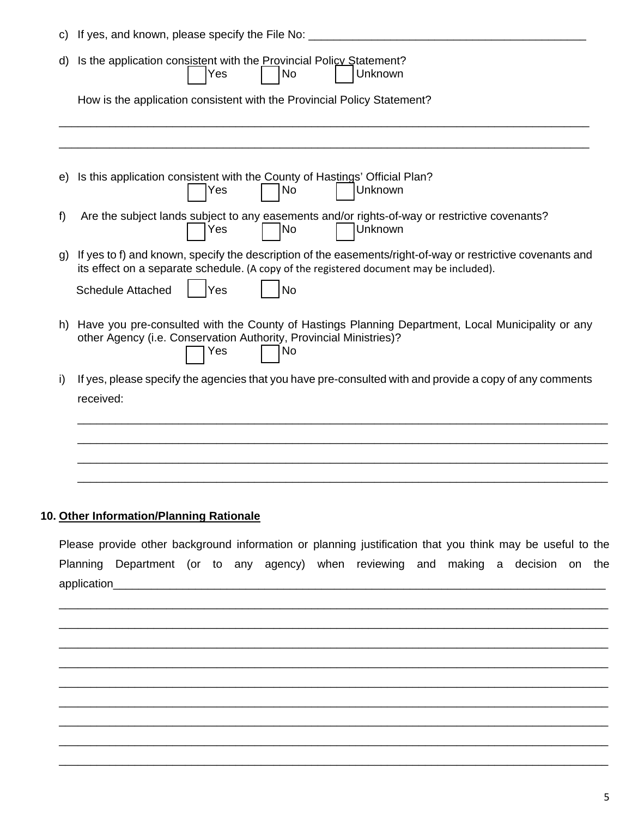| C)           | If yes, and known, please specify the File No:                                                                                                                                                                                                        |
|--------------|-------------------------------------------------------------------------------------------------------------------------------------------------------------------------------------------------------------------------------------------------------|
| d)           | Is the application consistent with the Provincial Policy Statement?<br><b>No</b><br>Unknown<br>Yes                                                                                                                                                    |
|              | How is the application consistent with the Provincial Policy Statement?                                                                                                                                                                               |
| e)           | Is this application consistent with the County of Hastings' Official Plan?<br>Unknown<br>No<br>Yes                                                                                                                                                    |
| f            | Are the subject lands subject to any easements and/or rights-of-way or restrictive covenants?<br>Unknown<br>Yes<br> No                                                                                                                                |
| $\mathsf{q}$ | If yes to f) and known, specify the description of the easements/right-of-way or restrictive covenants and<br>its effect on a separate schedule. (A copy of the registered document may be included).<br><b>Schedule Attached</b><br>Yes<br><b>No</b> |
|              | h) Have you pre-consulted with the County of Hastings Planning Department, Local Municipality or any<br>other Agency (i.e. Conservation Authority, Provincial Ministries)?<br>No<br>Yes                                                               |
| i)           | If yes, please specify the agencies that you have pre-consulted with and provide a copy of any comments<br>received:                                                                                                                                  |
|              |                                                                                                                                                                                                                                                       |
|              |                                                                                                                                                                                                                                                       |

# **10. Other Information/Planning Rationale**

Please provide other background information or planning justification that you think may be useful to the Planning Department (or to any agency) when reviewing and making a decision on the application\_\_\_\_\_\_\_\_\_\_\_\_\_\_\_\_\_\_\_\_\_\_\_\_\_\_\_\_\_\_\_\_\_\_\_\_\_\_\_\_\_\_\_\_\_\_\_\_\_\_\_\_\_\_\_\_\_\_\_\_\_\_\_\_\_\_\_\_\_\_\_\_\_\_\_\_\_\_

\_\_\_\_\_\_\_\_\_\_\_\_\_\_\_\_\_\_\_\_\_\_\_\_\_\_\_\_\_\_\_\_\_\_\_\_\_\_\_\_\_\_\_\_\_\_\_\_\_\_\_\_\_\_\_\_\_\_\_\_\_\_\_\_\_\_\_\_\_\_\_\_\_\_\_\_\_\_\_\_\_\_\_\_\_\_\_ \_\_\_\_\_\_\_\_\_\_\_\_\_\_\_\_\_\_\_\_\_\_\_\_\_\_\_\_\_\_\_\_\_\_\_\_\_\_\_\_\_\_\_\_\_\_\_\_\_\_\_\_\_\_\_\_\_\_\_\_\_\_\_\_\_\_\_\_\_\_\_\_\_\_\_\_\_\_\_\_\_\_\_\_\_\_\_ \_\_\_\_\_\_\_\_\_\_\_\_\_\_\_\_\_\_\_\_\_\_\_\_\_\_\_\_\_\_\_\_\_\_\_\_\_\_\_\_\_\_\_\_\_\_\_\_\_\_\_\_\_\_\_\_\_\_\_\_\_\_\_\_\_\_\_\_\_\_\_\_\_\_\_\_\_\_\_\_\_\_\_\_\_\_\_ \_\_\_\_\_\_\_\_\_\_\_\_\_\_\_\_\_\_\_\_\_\_\_\_\_\_\_\_\_\_\_\_\_\_\_\_\_\_\_\_\_\_\_\_\_\_\_\_\_\_\_\_\_\_\_\_\_\_\_\_\_\_\_\_\_\_\_\_\_\_\_\_\_\_\_\_\_\_\_\_\_\_\_\_\_\_\_ \_\_\_\_\_\_\_\_\_\_\_\_\_\_\_\_\_\_\_\_\_\_\_\_\_\_\_\_\_\_\_\_\_\_\_\_\_\_\_\_\_\_\_\_\_\_\_\_\_\_\_\_\_\_\_\_\_\_\_\_\_\_\_\_\_\_\_\_\_\_\_\_\_\_\_\_\_\_\_\_\_\_\_\_\_\_\_ \_\_\_\_\_\_\_\_\_\_\_\_\_\_\_\_\_\_\_\_\_\_\_\_\_\_\_\_\_\_\_\_\_\_\_\_\_\_\_\_\_\_\_\_\_\_\_\_\_\_\_\_\_\_\_\_\_\_\_\_\_\_\_\_\_\_\_\_\_\_\_\_\_\_\_\_\_\_\_\_\_\_\_\_\_\_\_ \_\_\_\_\_\_\_\_\_\_\_\_\_\_\_\_\_\_\_\_\_\_\_\_\_\_\_\_\_\_\_\_\_\_\_\_\_\_\_\_\_\_\_\_\_\_\_\_\_\_\_\_\_\_\_\_\_\_\_\_\_\_\_\_\_\_\_\_\_\_\_\_\_\_\_\_\_\_\_\_\_\_\_\_\_\_\_ \_\_\_\_\_\_\_\_\_\_\_\_\_\_\_\_\_\_\_\_\_\_\_\_\_\_\_\_\_\_\_\_\_\_\_\_\_\_\_\_\_\_\_\_\_\_\_\_\_\_\_\_\_\_\_\_\_\_\_\_\_\_\_\_\_\_\_\_\_\_\_\_\_\_\_\_\_\_\_\_\_\_\_\_\_\_\_ \_\_\_\_\_\_\_\_\_\_\_\_\_\_\_\_\_\_\_\_\_\_\_\_\_\_\_\_\_\_\_\_\_\_\_\_\_\_\_\_\_\_\_\_\_\_\_\_\_\_\_\_\_\_\_\_\_\_\_\_\_\_\_\_\_\_\_\_\_\_\_\_\_\_\_\_\_\_\_\_\_\_\_\_\_\_\_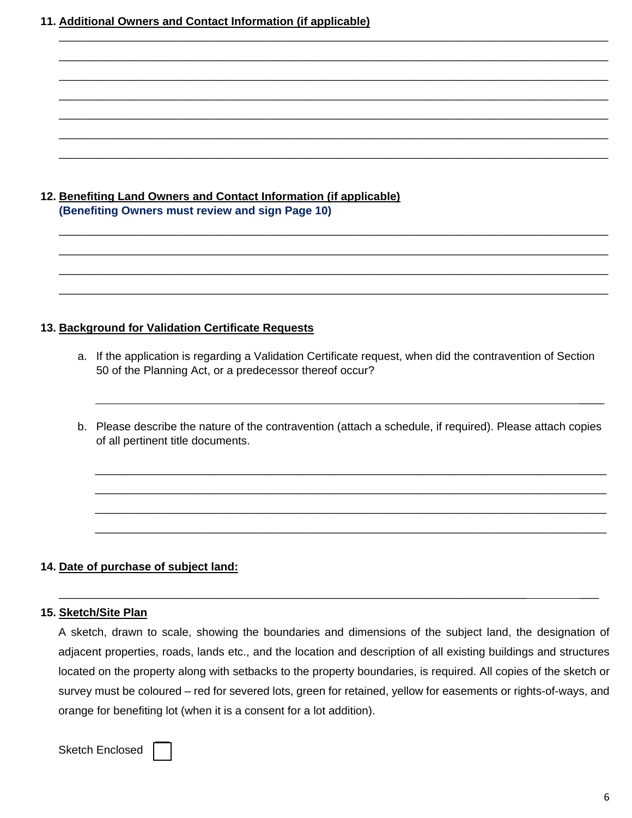**11. Additional Owners and Contact Information (if applicable)** 

# **12. Benefiting Land Owners and Contact Information (if applicable) (Benefiting Owners must review and sign Page 10)**

# **13. Background for Validation Certificate Requests**

a. If the application is regarding a Validation Certificate request, when did the contravention of Section 50 of the Planning Act, or a predecessor thereof occur?

\_\_\_\_\_\_\_\_\_\_\_\_\_\_\_\_\_\_\_\_\_\_\_\_\_\_\_\_\_\_\_\_\_\_\_\_\_\_\_\_\_\_\_\_\_\_\_\_\_\_\_\_\_\_\_\_\_\_\_\_\_\_\_\_\_\_\_\_\_\_\_\_\_\_\_\_\_\_\_\_\_\_\_\_\_\_\_ \_\_\_\_\_\_\_\_\_\_\_\_\_\_\_\_\_\_\_\_\_\_\_\_\_\_\_\_\_\_\_\_\_\_\_\_\_\_\_\_\_\_\_\_\_\_\_\_\_\_\_\_\_\_\_\_\_\_\_\_\_\_\_\_\_\_\_\_\_\_\_\_\_\_\_\_\_\_\_\_\_\_\_\_\_\_\_ \_\_\_\_\_\_\_\_\_\_\_\_\_\_\_\_\_\_\_\_\_\_\_\_\_\_\_\_\_\_\_\_\_\_\_\_\_\_\_\_\_\_\_\_\_\_\_\_\_\_\_\_\_\_\_\_\_\_\_\_\_\_\_\_\_\_\_\_\_\_\_\_\_\_\_\_\_\_\_\_\_\_\_\_\_\_\_ \_\_\_\_\_\_\_\_\_\_\_\_\_\_\_\_\_\_\_\_\_\_\_\_\_\_\_\_\_\_\_\_\_\_\_\_\_\_\_\_\_\_\_\_\_\_\_\_\_\_\_\_\_\_\_\_\_\_\_\_\_\_\_\_\_\_\_\_\_\_\_\_\_\_\_\_\_\_\_\_\_\_\_\_\_\_\_

\_\_\_\_\_\_\_\_\_\_\_\_\_\_\_\_\_\_\_\_\_\_\_\_\_\_\_\_\_\_\_\_\_\_\_\_\_\_\_\_\_\_\_\_\_\_\_\_\_\_\_\_\_\_\_\_\_\_\_\_\_\_\_\_\_\_\_\_\_\_\_\_\_\_\_\_\_\_\_\_\_\_\_\_\_\_\_ \_\_\_\_\_\_\_\_\_\_\_\_\_\_\_\_\_\_\_\_\_\_\_\_\_\_\_\_\_\_\_\_\_\_\_\_\_\_\_\_\_\_\_\_\_\_\_\_\_\_\_\_\_\_\_\_\_\_\_\_\_\_\_\_\_\_\_\_\_\_\_\_\_\_\_\_\_\_\_\_\_\_\_\_\_\_\_ \_\_\_\_\_\_\_\_\_\_\_\_\_\_\_\_\_\_\_\_\_\_\_\_\_\_\_\_\_\_\_\_\_\_\_\_\_\_\_\_\_\_\_\_\_\_\_\_\_\_\_\_\_\_\_\_\_\_\_\_\_\_\_\_\_\_\_\_\_\_\_\_\_\_\_\_\_\_\_\_\_\_\_\_\_\_\_ \_\_\_\_\_\_\_\_\_\_\_\_\_\_\_\_\_\_\_\_\_\_\_\_\_\_\_\_\_\_\_\_\_\_\_\_\_\_\_\_\_\_\_\_\_\_\_\_\_\_\_\_\_\_\_\_\_\_\_\_\_\_\_\_\_\_\_\_\_\_\_\_\_\_\_\_\_\_\_\_\_\_\_\_\_\_\_ \_\_\_\_\_\_\_\_\_\_\_\_\_\_\_\_\_\_\_\_\_\_\_\_\_\_\_\_\_\_\_\_\_\_\_\_\_\_\_\_\_\_\_\_\_\_\_\_\_\_\_\_\_\_\_\_\_\_\_\_\_\_\_\_\_\_\_\_\_\_\_\_\_\_\_\_\_\_\_\_\_\_\_\_\_\_\_ \_\_\_\_\_\_\_\_\_\_\_\_\_\_\_\_\_\_\_\_\_\_\_\_\_\_\_\_\_\_\_\_\_\_\_\_\_\_\_\_\_\_\_\_\_\_\_\_\_\_\_\_\_\_\_\_\_\_\_\_\_\_\_\_\_\_\_\_\_\_\_\_\_\_\_\_\_\_\_\_\_\_\_\_\_\_\_ \_\_\_\_\_\_\_\_\_\_\_\_\_\_\_\_\_\_\_\_\_\_\_\_\_\_\_\_\_\_\_\_\_\_\_\_\_\_\_\_\_\_\_\_\_\_\_\_\_\_\_\_\_\_\_\_\_\_\_\_\_\_\_\_\_\_\_\_\_\_\_\_\_\_\_\_\_\_\_\_\_\_\_\_\_\_\_

b. Please describe the nature of the contravention (attach a schedule, if required). Please attach copies of all pertinent title documents.

 $\mathcal{L}_\mathcal{L}$  , we can consider the constraint of the constraints of the constraints of the constraints of the constraints of the constraints of the constraints of the constraints of the constraints of the constraints of

\_\_\_\_\_\_\_\_\_\_\_\_\_\_\_\_\_\_\_\_\_\_\_\_\_\_\_\_\_\_\_\_\_\_\_\_\_\_\_\_\_\_\_\_\_\_\_\_\_\_\_\_\_\_\_\_\_\_\_\_\_\_\_\_\_\_\_\_\_\_\_\_\_\_\_\_\_\_\_\_\_ \_\_\_\_\_\_\_\_\_\_\_\_\_\_\_\_\_\_\_\_\_\_\_\_\_\_\_\_\_\_\_\_\_\_\_\_\_\_\_\_\_\_\_\_\_\_\_\_\_\_\_\_\_\_\_\_\_\_\_\_\_\_\_\_\_\_\_\_\_\_\_\_\_\_\_\_\_\_\_\_\_ \_\_\_\_\_\_\_\_\_\_\_\_\_\_\_\_\_\_\_\_\_\_\_\_\_\_\_\_\_\_\_\_\_\_\_\_\_\_\_\_\_\_\_\_\_\_\_\_\_\_\_\_\_\_\_\_\_\_\_\_\_\_\_\_\_\_\_\_\_\_\_\_\_\_\_\_\_\_\_\_\_ \_\_\_\_\_\_\_\_\_\_\_\_\_\_\_\_\_\_\_\_\_\_\_\_\_\_\_\_\_\_\_\_\_\_\_\_\_\_\_\_\_\_\_\_\_\_\_\_\_\_\_\_\_\_\_\_\_\_\_\_\_\_\_\_\_\_\_\_\_\_\_\_\_\_\_\_\_\_\_\_\_

#### **14. Date of purchase of subject land:**

#### **15. Sketch/Site Plan**

A sketch, drawn to scale, showing the boundaries and dimensions of the subject land, the designation of adjacent properties, roads, lands etc., and the location and description of all existing buildings and structures located on the property along with setbacks to the property boundaries, is required. All copies of the sketch or survey must be coloured – red for severed lots, green for retained, yellow for easements or rights-of-ways, and orange for benefiting lot (when it is a consent for a lot addition).

\_\_\_\_\_\_\_\_\_\_\_\_\_\_\_\_\_\_\_\_\_\_\_\_\_\_\_\_\_\_\_\_\_\_\_\_\_\_\_\_\_\_\_\_\_\_\_\_\_\_\_\_\_\_\_\_\_\_\_\_\_\_\_\_\_\_\_\_\_\_\_\_\_\_ \_\_\_

Sketch Enclosed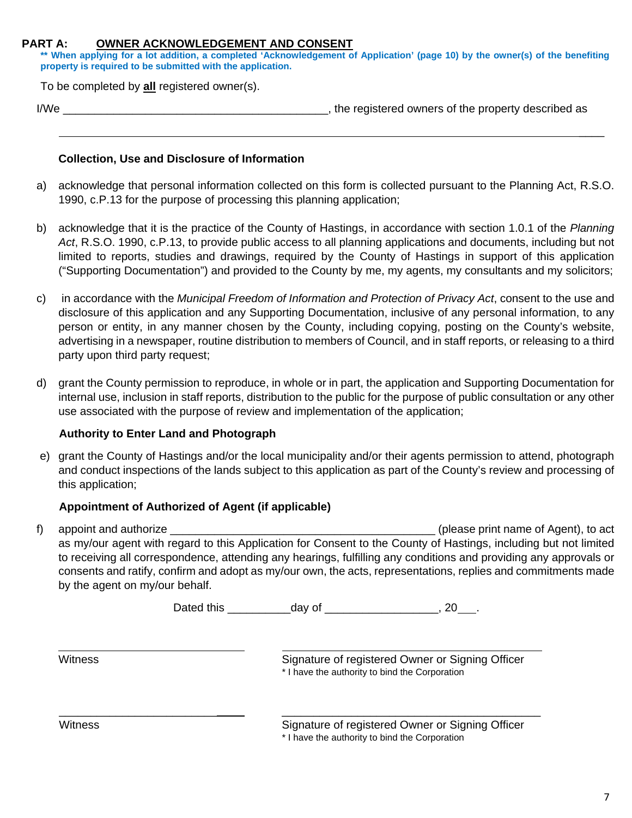#### **PART A: OWNER ACKNOWLEDGEMENT AND CONSENT**

**\*\* When applying for a lot addition, a completed 'Acknowledgement of Application' (page 10) by the owner(s) of the benefiting property is required to be submitted with the application.** 

To be completed by **all** registered owner(s).

| ×<br>۰. |  |
|---------|--|

If the registered owners of the property described as

#### **Collection, Use and Disclosure of Information**

a) acknowledge that personal information collected on this form is collected pursuant to the Planning Act, R.S.O. 1990, c.P.13 for the purpose of processing this planning application;

 $\mathcal{L}_\mathcal{L}$  , and the contract of the contract of the contract of the contract of the contract of the contract of

- b) acknowledge that it is the practice of the County of Hastings, in accordance with section 1.0.1 of the *Planning Act*, R.S.O. 1990, c.P.13, to provide public access to all planning applications and documents, including but not limited to reports, studies and drawings, required by the County of Hastings in support of this application ("Supporting Documentation") and provided to the County by me, my agents, my consultants and my solicitors;
- c) in accordance with the *Municipal Freedom of Information and Protection of Privacy Act*, consent to the use and disclosure of this application and any Supporting Documentation, inclusive of any personal information, to any person or entity, in any manner chosen by the County, including copying, posting on the County's website, advertising in a newspaper, routine distribution to members of Council, and in staff reports, or releasing to a third party upon third party request;
- d) grant the County permission to reproduce, in whole or in part, the application and Supporting Documentation for internal use, inclusion in staff reports, distribution to the public for the purpose of public consultation or any other use associated with the purpose of review and implementation of the application;

#### **Authority to Enter Land and Photograph**

e) grant the County of Hastings and/or the local municipality and/or their agents permission to attend, photograph and conduct inspections of the lands subject to this application as part of the County's review and processing of this application;

# **Appointment of Authorized of Agent (if applicable)**

f) appoint and authorize  $\blacksquare$  appoint and authorize as my/our agent with regard to this Application for Consent to the County of Hastings, including but not limited to receiving all correspondence, attending any hearings, fulfilling any conditions and providing any approvals or consents and ratify, confirm and adopt as my/our own, the acts, representations, replies and commitments made by the agent on my/our behalf.

Dated this \_\_\_\_\_\_\_\_\_\_\_\_\_\_\_day of \_\_\_\_\_\_\_\_\_\_\_\_\_\_\_\_\_\_\_\_\_\_, 20\_\_\_\_.

\_\_\_\_\_\_\_\_\_\_\_\_\_\_\_\_\_\_\_\_\_\_\_\_\_ \_\_\_\_\_\_\_\_\_\_\_\_\_\_\_\_\_\_\_\_\_\_\_\_\_\_\_\_\_\_\_\_\_\_\_\_\_\_\_\_\_

 $\overline{a}$ 

Witness Witness Signature of registered Owner or Signing Officer \* I have the authority to bind the Corporation

Witness **Signature of registered Owner or Signing Officer** Signature of registered Owner or Signing Officer \* I have the authority to bind the Corporation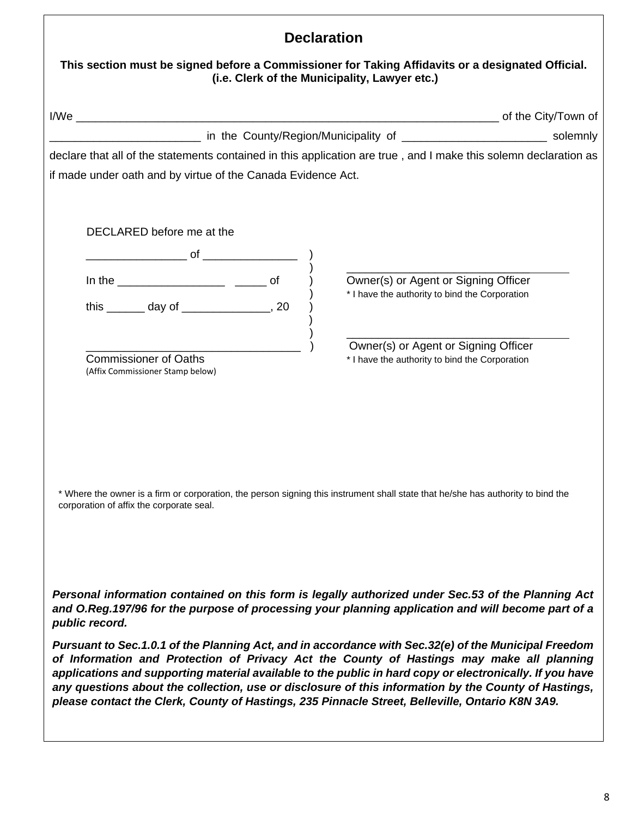| <b>Declaration</b>                                                                                                                                                                                                                                                                                                                                                                                               |  |  |
|------------------------------------------------------------------------------------------------------------------------------------------------------------------------------------------------------------------------------------------------------------------------------------------------------------------------------------------------------------------------------------------------------------------|--|--|
| This section must be signed before a Commissioner for Taking Affidavits or a designated Official.<br>(i.e. Clerk of the Municipality, Lawyer etc.)                                                                                                                                                                                                                                                               |  |  |
|                                                                                                                                                                                                                                                                                                                                                                                                                  |  |  |
|                                                                                                                                                                                                                                                                                                                                                                                                                  |  |  |
| declare that all of the statements contained in this application are true, and I make this solemn declaration as                                                                                                                                                                                                                                                                                                 |  |  |
| if made under oath and by virtue of the Canada Evidence Act.                                                                                                                                                                                                                                                                                                                                                     |  |  |
|                                                                                                                                                                                                                                                                                                                                                                                                                  |  |  |
| DECLARED before me at the                                                                                                                                                                                                                                                                                                                                                                                        |  |  |
| $\overline{\phantom{a}}$ of $\overline{\phantom{a}}$                                                                                                                                                                                                                                                                                                                                                             |  |  |
| Owner(s) or Agent or Signing Officer                                                                                                                                                                                                                                                                                                                                                                             |  |  |
| * I have the authority to bind the Corporation<br>this ________ day of __________________, 20                                                                                                                                                                                                                                                                                                                    |  |  |
|                                                                                                                                                                                                                                                                                                                                                                                                                  |  |  |
| Owner(s) or Agent or Signing Officer                                                                                                                                                                                                                                                                                                                                                                             |  |  |
| <b>Commissioner of Oaths</b><br>* I have the authority to bind the Corporation<br>(Affix Commissioner Stamp below)                                                                                                                                                                                                                                                                                               |  |  |
|                                                                                                                                                                                                                                                                                                                                                                                                                  |  |  |
|                                                                                                                                                                                                                                                                                                                                                                                                                  |  |  |
|                                                                                                                                                                                                                                                                                                                                                                                                                  |  |  |
|                                                                                                                                                                                                                                                                                                                                                                                                                  |  |  |
|                                                                                                                                                                                                                                                                                                                                                                                                                  |  |  |
| * Where the owner is a firm or corporation, the person signing this instrument shall state that he/she has authority to bind the                                                                                                                                                                                                                                                                                 |  |  |
| corporation of affix the corporate seal.                                                                                                                                                                                                                                                                                                                                                                         |  |  |
|                                                                                                                                                                                                                                                                                                                                                                                                                  |  |  |
|                                                                                                                                                                                                                                                                                                                                                                                                                  |  |  |
|                                                                                                                                                                                                                                                                                                                                                                                                                  |  |  |
| Personal information contained on this form is legally authorized under Sec.53 of the Planning Act<br>and O.Reg.197/96 for the purpose of processing your planning application and will become part of a<br>public record.                                                                                                                                                                                       |  |  |
| Pursuant to Sec.1.0.1 of the Planning Act, and in accordance with Sec.32(e) of the Municipal Freedom                                                                                                                                                                                                                                                                                                             |  |  |
| of Information and Protection of Privacy Act the County of Hastings may make all planning<br>applications and supporting material available to the public in hard copy or electronically. If you have<br>any questions about the collection, use or disclosure of this information by the County of Hastings,<br>please contact the Clerk, County of Hastings, 235 Pinnacle Street, Belleville, Ontario K8N 3A9. |  |  |
|                                                                                                                                                                                                                                                                                                                                                                                                                  |  |  |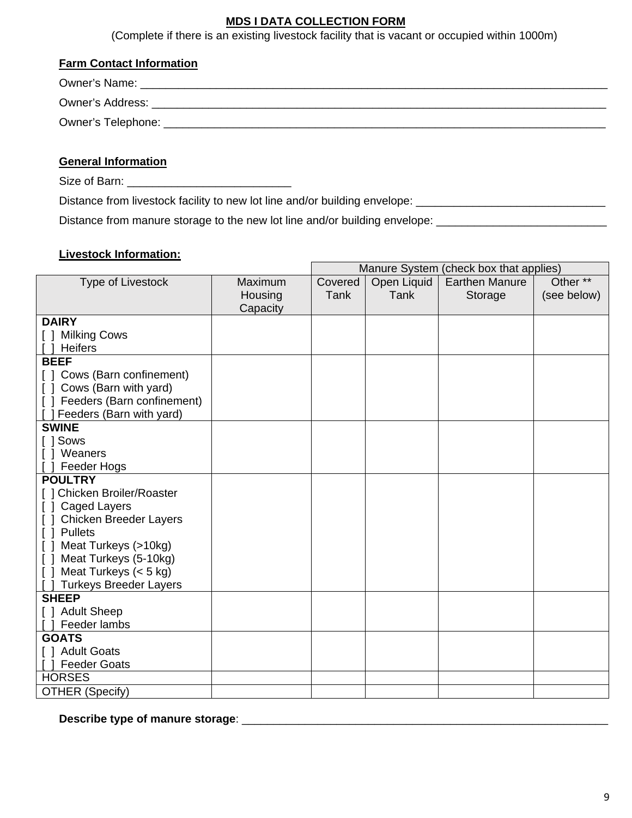# **MDS I DATA COLLECTION FORM**

(Complete if there is an existing livestock facility that is vacant or occupied within 1000m)

# **Farm Contact Information**

| <b>Owner's Name:</b> |
|----------------------|
| Owner's Address:     |
| Owner's Telephone: _ |
|                      |

# **General Information**

Size of Barn: \_\_\_\_\_\_\_\_\_\_\_\_\_\_\_\_\_\_\_\_\_\_\_\_\_\_

Distance from livestock facility to new lot line and/or building envelope: \_\_\_\_\_\_\_\_\_\_\_\_\_\_\_\_\_\_\_\_\_\_\_\_\_\_\_\_\_\_\_\_\_\_\_

Distance from manure storage to the new lot line and/or building envelope: \_\_\_\_\_\_\_\_\_\_\_\_\_\_\_\_\_\_\_\_\_\_\_\_\_\_\_\_\_\_\_\_\_\_

# **Livestock Information:**

|                                 | Manure System (check box that applies) |         |             |                       |             |
|---------------------------------|----------------------------------------|---------|-------------|-----------------------|-------------|
| Type of Livestock               | Maximum                                | Covered | Open Liquid | <b>Earthen Manure</b> | Other **    |
|                                 | Housing                                | Tank    | <b>Tank</b> | Storage               | (see below) |
|                                 | Capacity                               |         |             |                       |             |
| <b>DAIRY</b>                    |                                        |         |             |                       |             |
| [ ] Milking Cows                |                                        |         |             |                       |             |
| <b>Heifers</b>                  |                                        |         |             |                       |             |
| <b>BEEF</b>                     |                                        |         |             |                       |             |
| [] Cows (Barn confinement)      |                                        |         |             |                       |             |
| Cows (Barn with yard)           |                                        |         |             |                       |             |
| [ ] Feeders (Barn confinement)  |                                        |         |             |                       |             |
| Feeders (Barn with yard)        |                                        |         |             |                       |             |
| <b>SWINE</b>                    |                                        |         |             |                       |             |
| [ ] Sows                        |                                        |         |             |                       |             |
| [ ] Weaners                     |                                        |         |             |                       |             |
| Feeder Hogs                     |                                        |         |             |                       |             |
| <b>POULTRY</b>                  |                                        |         |             |                       |             |
| [ ] Chicken Broiler/Roaster     |                                        |         |             |                       |             |
| Caged Layers<br>$\Box$          |                                        |         |             |                       |             |
| <b>Chicken Breeder Layers</b>   |                                        |         |             |                       |             |
| [ ] Pullets                     |                                        |         |             |                       |             |
| [ ] Meat Turkeys (>10kg)        |                                        |         |             |                       |             |
| Meat Turkeys (5-10kg)<br>$\Box$ |                                        |         |             |                       |             |
| Meat Turkeys $(< 5 kg)$         |                                        |         |             |                       |             |
| <b>Turkeys Breeder Layers</b>   |                                        |         |             |                       |             |
| <b>SHEEP</b>                    |                                        |         |             |                       |             |
| [ ] Adult Sheep                 |                                        |         |             |                       |             |
| Feeder lambs                    |                                        |         |             |                       |             |
| <b>GOATS</b>                    |                                        |         |             |                       |             |
| [ ] Adult Goats                 |                                        |         |             |                       |             |
| <b>Feeder Goats</b>             |                                        |         |             |                       |             |
| <b>HORSES</b>                   |                                        |         |             |                       |             |
| <b>OTHER (Specify)</b>          |                                        |         |             |                       |             |

**Describe type of manure storage**: \_\_\_\_\_\_\_\_\_\_\_\_\_\_\_\_\_\_\_\_\_\_\_\_\_\_\_\_\_\_\_\_\_\_\_\_\_\_\_\_\_\_\_\_\_\_\_\_\_\_\_\_\_\_\_\_\_\_